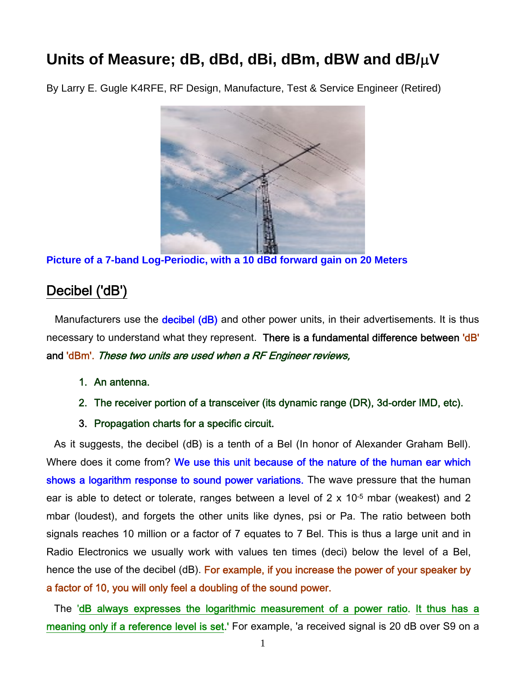# **Units of Measure; dB, dBd, dBi, dBm, dBW and dB/V**

By Larry E. Gugle K4RFE, RF Design, Manufacture, Test & Service Engineer (Retired)



**Picture of a 7-band Log-Periodic, with a 10 dBd forward gain on 20 Meters** 

## Decibel ('dB')

Manufacturers use the **decibel (dB)** and other power units, in their advertisements. It is thus necessary to understand what they represent. There is a fundamental difference between 'dB' and 'dBm'. These two units are used when a RF Engineer reviews,

- 1. An antenna.
- 2. The receiver portion of a transceiver (its dynamic range (DR), 3d-order IMD, etc).
- 3. Propagation charts for a specific circuit.

As it suggests, the decibel (dB) is a tenth of a Bel (In honor of Alexander Graham Bell). Where does it come from? We use this unit because of the nature of the human ear which shows a logarithm response to sound power variations. The wave pressure that the human ear is able to detect or tolerate, ranges between a level of 2 x 10-5 mbar (weakest) and 2 mbar (loudest), and forgets the other units like dynes, psi or Pa. The ratio between both signals reaches 10 million or a factor of 7 equates to 7 Bel. This is thus a large unit and in Radio Electronics we usually work with values ten times (deci) below the level of a Bel, hence the use of the decibel (dB). For example, if you increase the power of your speaker by a factor of 10, you will only feel a doubling of the sound power.

The 'dB always expresses the logarithmic measurement of a power ratio. It thus has a meaning only if a reference level is set.' For example, 'a received signal is 20 dB over S9 on a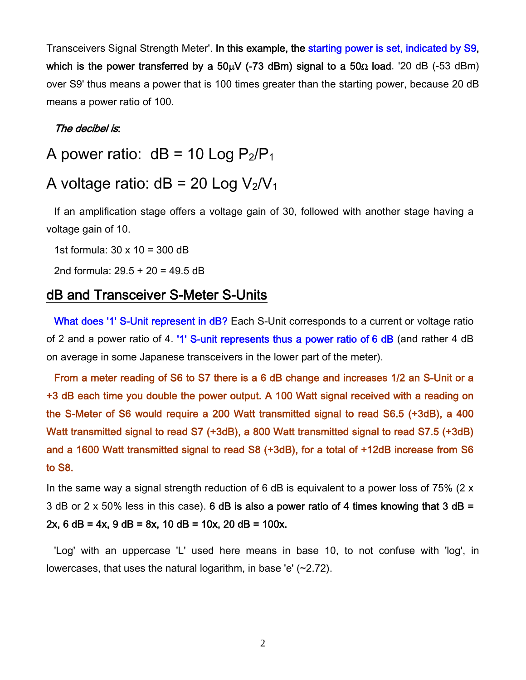Transceivers Signal Strength Meter'. In this example, the starting power is set, indicated by S9, which is the power transferred by a  $50\mu$ V (-73 dBm) signal to a  $50\Omega$  load. '20 dB (-53 dBm) over S9' thus means a power that is 100 times greater than the starting power, because 20 dB means a power ratio of 100.

#### The decibel is:

A power ratio:  $dB = 10$  Log  $P_2/P_1$ 

## A voltage ratio:  $dB = 20$  Log  $V_2/V_1$

If an amplification stage offers a voltage gain of 30, followed with another stage having a voltage gain of 10.

1st formula: 30 x 10 = 300 dB

2nd formula: 29.5 + 20 = 49.5 dB

### dB and Transceiver S-Meter S-Units

What does '1' S-Unit represent in dB? Each S-Unit corresponds to a current or voltage ratio of 2 and a power ratio of 4. '1' S-unit represents thus a power ratio of 6 dB (and rather 4 dB on average in some Japanese transceivers in the lower part of the meter).

From a meter reading of S6 to S7 there is a 6 dB change and increases 1/2 an S-Unit or a +3 dB each time you double the power output. A 100 Watt signal received with a reading on the S-Meter of S6 would require a 200 Watt transmitted signal to read S6.5 (+3dB), a 400 Watt transmitted signal to read S7 (+3dB), a 800 Watt transmitted signal to read S7.5 (+3dB) and a 1600 Watt transmitted signal to read S8 (+3dB), for a total of +12dB increase from S6 to S8.

In the same way a signal strength reduction of 6 dB is equivalent to a power loss of  $75\%$  (2 x 3 dB or 2 x 50% less in this case). 6 dB is also a power ratio of 4 times knowing that 3 dB = 2x, 6 dB = 4x, 9 dB = 8x, 10 dB = 10x, 20 dB = 100x.

'Log' with an uppercase 'L' used here means in base 10, to not confuse with 'log', in lowercases, that uses the natural logarithm, in base 'e' (~2.72).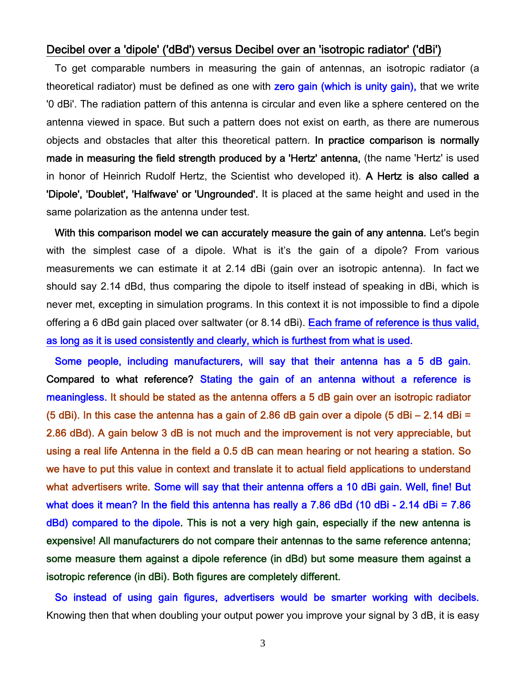#### Decibel over a 'dipole' ('dBd') versus Decibel over an 'isotropic radiator' ('dBi')

To get comparable numbers in measuring the gain of antennas, an isotropic radiator (a theoretical radiator) must be defined as one with zero gain (which is unity gain), that we write '0 dBi'. The radiation pattern of this antenna is circular and even like a sphere centered on the antenna viewed in space. But such a pattern does not exist on earth, as there are numerous objects and obstacles that alter this theoretical pattern. In practice comparison is normally made in measuring the field strength produced by a 'Hertz' antenna, (the name 'Hertz' is used in honor of Heinrich Rudolf Hertz, the Scientist who developed it). A Hertz is also called a 'Dipole', 'Doublet', 'Halfwave' or 'Ungrounded'. It is placed at the same height and used in the same polarization as the antenna under test.

With this comparison model we can accurately measure the gain of any antenna. Let's begin with the simplest case of a dipole. What is it's the gain of a dipole? From various measurements we can estimate it at 2.14 dBi (gain over an isotropic antenna). In fact we should say 2.14 dBd, thus comparing the dipole to itself instead of speaking in dBi, which is never met, excepting in simulation programs. In this context it is not impossible to find a dipole offering a 6 dBd gain placed over saltwater (or 8.14 dBi). Each frame of reference is thus valid, as long as it is used consistently and clearly, which is furthest from what is used.

Some people, including manufacturers, will say that their antenna has a 5 dB gain. Compared to what reference? Stating the gain of an antenna without a reference is meaningless. It should be stated as the antenna offers a 5 dB gain over an isotropic radiator (5 dBi). In this case the antenna has a gain of 2.86 dB gain over a dipole (5 dBi – 2.14 dBi = 2.86 dBd). A gain below 3 dB is not much and the improvement is not very appreciable, but using a real life Antenna in the field a 0.5 dB can mean hearing or not hearing a station. So we have to put this value in context and translate it to actual field applications to understand what advertisers write. Some will say that their antenna offers a 10 dBi gain. Well, fine! But what does it mean? In the field this antenna has really a 7.86 dBd (10 dBi - 2.14 dBi = 7.86 dBd) compared to the dipole. This is not a very high gain, especially if the new antenna is expensive! All manufacturers do not compare their antennas to the same reference antenna; some measure them against a dipole reference (in dBd) but some measure them against a isotropic reference (in dBi). Both figures are completely different.

So instead of using gain figures, advertisers would be smarter working with decibels. Knowing then that when doubling your output power you improve your signal by 3 dB, it is easy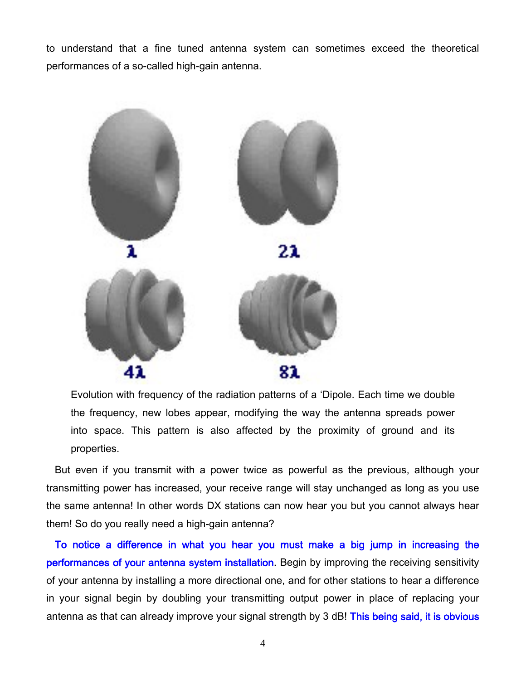to understand that a fine tuned antenna system can sometimes exceed the theoretical performances of a so-called high-gain antenna.



Evolution with frequency of the radiation patterns of a 'Dipole. Each time we double the frequency, new lobes appear, modifying the way the antenna spreads power into space. This pattern is also affected by the proximity of ground and its properties.

But even if you transmit with a power twice as powerful as the previous, although your transmitting power has increased, your receive range will stay unchanged as long as you use the same antenna! In other words DX stations can now hear you but you cannot always hear them! So do you really need a high-gain antenna?

To notice a difference in what you hear you must make a big jump in increasing the performances of your antenna system installation. Begin by improving the receiving sensitivity of your antenna by installing a more directional one, and for other stations to hear a difference in your signal begin by doubling your transmitting output power in place of replacing your antenna as that can already improve your signal strength by 3 dB! This being said, it is obvious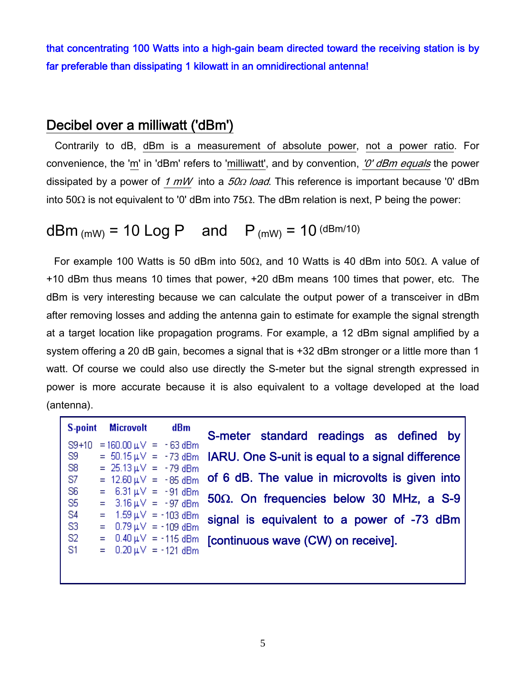that concentrating 100 Watts into a high-gain beam directed toward the receiving station is by far preferable than dissipating 1 kilowatt in an omnidirectional antenna!

### Decibel over a milliwatt ('dBm')

Contrarily to dB, dBm is a measurement of absolute power, not a power ratio. For convenience, the 'm' in 'dBm' refers to 'milliwatt', and by convention, 'O' dBm equals the power dissipated by a power of 1  $mW$  into a  $50\Omega$  load. This reference is important because '0' dBm into 50 $\Omega$  is not equivalent to '0' dBm into 75 $\Omega$ . The dBm relation is next, P being the power:

## dBm (mW) = 10 Log P and  $P_{(mW)} = 10^{(dBm/10)}$

For example 100 Watts is 50 dBm into 50 $\Omega$ , and 10 Watts is 40 dBm into 50 $\Omega$ . A value of +10 dBm thus means 10 times that power, +20 dBm means 100 times that power, etc. The dBm is very interesting because we can calculate the output power of a transceiver in dBm after removing losses and adding the antenna gain to estimate for example the signal strength at a target location like propagation programs. For example, a 12 dBm signal amplified by a system offering a 20 dB gain, becomes a signal that is +32 dBm stronger or a little more than 1 watt. Of course we could also use directly the S-meter but the signal strength expressed in power is more accurate because it is also equivalent to a voltage developed at the load (antenna).

|                |  | S-point Microvolt                                |  | dBm                                        |                                                                                   |  |
|----------------|--|--------------------------------------------------|--|--------------------------------------------|-----------------------------------------------------------------------------------|--|
| $S9+10$        |  | $= 160.00 \text{ }\mu\text{V} = -63 \text{ }dBm$ |  |                                            | S-meter standard readings as defined by                                           |  |
| -S9            |  |                                                  |  |                                            | $=$ 50.15 $\mu$ $\vee$ = -73 dBm IARU. One S-unit is equal to a signal difference |  |
| S <sub>8</sub> |  | $= 25.13 \,\mu\text{V} = -79 \,\text{dBm}$       |  |                                            |                                                                                   |  |
| -87            |  |                                                  |  | $= 12.60 \,\mu\text{V} = -85 \,\text{dBm}$ | of 6 dB. The value in microvolts is given into                                    |  |
| -S6            |  | = $6.31 \mu V = -91 \text{ dBm}$                 |  |                                            |                                                                                   |  |
| -S5            |  | $= 3.16 \,\mu\text{V} = -97 \,\text{dBm}$        |  |                                            | 50 $\Omega$ . On frequencies below 30 MHz, a S-9                                  |  |
| <b>S4</b>      |  | $= 1.59 \,\mu\text{V} = -103 \,\text{dBm}$       |  |                                            | signal is equivalent to a power of -73 dBm                                        |  |
| -S3            |  | $= 0.79 \,\mu\text{V} = -109 \,\text{dBm}$       |  |                                            |                                                                                   |  |
| -S2            |  |                                                  |  | $= 0.40 \,\mu\text{V} = -115 \,\text{dBm}$ | [continuous wave (CW) on receive].                                                |  |
| <b>S1</b>      |  | $= 0.20 \mu V = -121 \text{ dBm}$                |  |                                            |                                                                                   |  |
|                |  |                                                  |  |                                            |                                                                                   |  |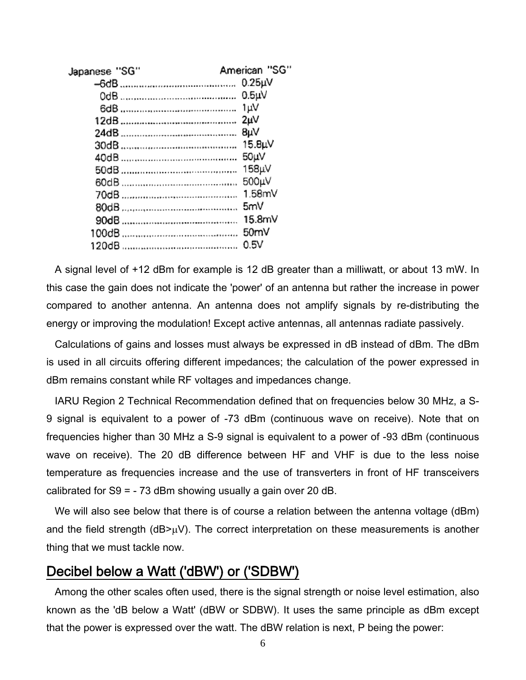| American "SG"       |
|---------------------|
| 0.25 <sub>µ</sub> V |
| $0.5\mu$            |
| 1uV                 |
| 2uV                 |
| 8µV                 |
| 15.8µV              |
| 50uV                |
| 158µV               |
| 500µV               |
| 1.58mV              |
| 5mV                 |
| 15.8mV              |
| 50 <sub>m</sub>     |
| 0.5V                |
|                     |

A signal level of +12 dBm for example is 12 dB greater than a milliwatt, or about 13 mW. In this case the gain does not indicate the 'power' of an antenna but rather the increase in power compared to another antenna. An antenna does not amplify signals by re-distributing the energy or improving the modulation! Except active antennas, all antennas radiate passively.

Calculations of gains and losses must always be expressed in dB instead of dBm. The dBm is used in all circuits offering different impedances; the calculation of the power expressed in dBm remains constant while RF voltages and impedances change.

IARU Region 2 Technical Recommendation defined that on frequencies below 30 MHz, a S-9 signal is equivalent to a power of -73 dBm (continuous wave on receive). Note that on frequencies higher than 30 MHz a S-9 signal is equivalent to a power of -93 dBm (continuous wave on receive). The 20 dB difference between HF and VHF is due to the less noise temperature as frequencies increase and the use of transverters in front of HF transceivers calibrated for S9 = - 73 dBm showing usually a gain over 20 dB.

We will also see below that there is of course a relation between the antenna voltage (dBm) and the field strength ( $dB>\mu V$ ). The correct interpretation on these measurements is another thing that we must tackle now.

#### Decibel below a Watt ('dBW') or ('SDBW')

Among the other scales often used, there is the signal strength or noise level estimation, also known as the 'dB below a Watt' (dBW or SDBW). It uses the same principle as dBm except that the power is expressed over the watt. The dBW relation is next, P being the power: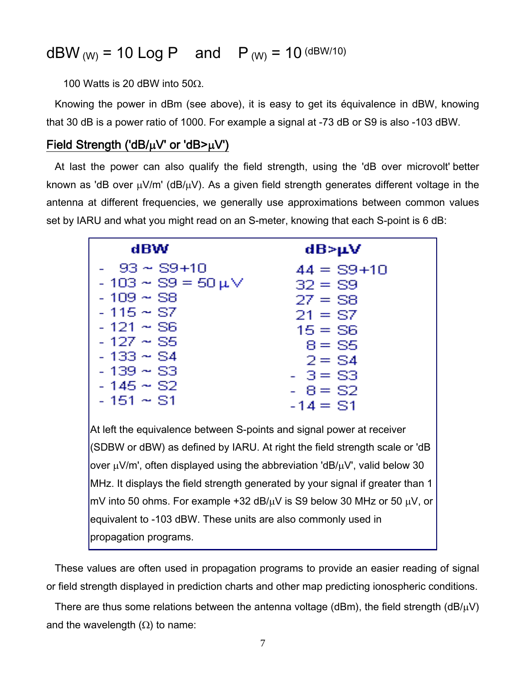# dBW  $_{(W)}$  = 10 Log P and P  $_{(W)}$  = 10 (dBW/10)

100 Watts is 20 dBW into 50 $\Omega$ .

Knowing the power in dBm (see above), it is easy to get its équivalence in dBW, knowing that 30 dB is a power ratio of 1000. For example a signal at -73 dB or S9 is also -103 dBW.

#### Field Strength ('dB/ $\mu$ V' or 'dB> $\mu$ V')

At last the power can also qualify the field strength, using the 'dB over microvolt' better known as 'dB over  $\mu$ V/m' (dB/ $\mu$ V). As a given field strength generates different voltage in the antenna at different frequencies, we generally use approximations between common values set by IARU and what you might read on an S-meter, knowing that each S-point is 6 dB:

| dBW                                                                                                                                                                                | dB>µV                                                                                                                 |
|------------------------------------------------------------------------------------------------------------------------------------------------------------------------------------|-----------------------------------------------------------------------------------------------------------------------|
| -   93 ~ S9+10<br>$-103 \sim \text{S9} = 50 \,\mu\text{V}$<br>- 109 $\sim$ S8<br>- 115 $\sim$ S7<br>$-121 - S6$<br>$-127 - S5$<br>- 133 $\sim$ S4<br>$-139 - S3$<br>$-145 \sim$ S2 | $44 = S9 + 10$<br>$32 = S9$<br>$27 = S8$<br>$21 = S$ 7<br>$15 = S6$<br>$8 = S5$<br>$2 = S4$<br>$-3 = S3$<br>$-8 = 52$ |
| $-151 - S1$                                                                                                                                                                        | $-14 = 51$                                                                                                            |

At left the equivalence between S-points and signal power at receiver (SDBW or dBW) as defined by IARU. At right the field strength scale or 'dB over  $\mu$ V/m', often displayed using the abbreviation 'dB/ $\mu$ V', valid below 30 MHz. It displays the field strength generated by your signal if greater than 1 mV into 50 ohms. For example +32 dB/ $\mu$ V is S9 below 30 MHz or 50  $\mu$ V, or equivalent to -103 dBW. These units are also commonly used in propagation programs.

These values are often used in propagation programs to provide an easier reading of signal or field strength displayed in prediction charts and other map predicting ionospheric conditions.

There are thus some relations between the antenna voltage (dBm), the field strength (dB/ $\mu$ V) and the wavelength  $(\Omega)$  to name: